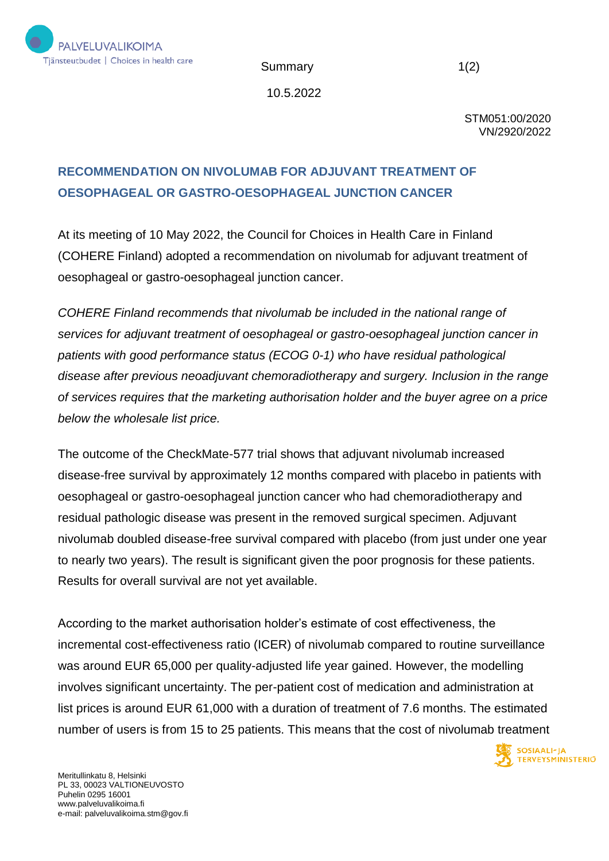

Summary 1(2)

10.5.2022

STM051:00/2020 VN/2920/2022

## **RECOMMENDATION ON NIVOLUMAB FOR ADJUVANT TREATMENT OF OESOPHAGEAL OR GASTRO-OESOPHAGEAL JUNCTION CANCER**

At its meeting of 10 May 2022, the Council for Choices in Health Care in Finland (COHERE Finland) adopted a recommendation on nivolumab for adjuvant treatment of oesophageal or gastro-oesophageal junction cancer.

*COHERE Finland recommends that nivolumab be included in the national range of services for adjuvant treatment of oesophageal or gastro-oesophageal junction cancer in patients with good performance status (ECOG 0-1) who have residual pathological disease after previous neoadjuvant chemoradiotherapy and surgery. Inclusion in the range of services requires that the marketing authorisation holder and the buyer agree on a price below the wholesale list price.*

The outcome of the CheckMate-577 trial shows that adjuvant nivolumab increased disease-free survival by approximately 12 months compared with placebo in patients with oesophageal or gastro-oesophageal junction cancer who had chemoradiotherapy and residual pathologic disease was present in the removed surgical specimen. Adjuvant nivolumab doubled disease-free survival compared with placebo (from just under one year to nearly two years). The result is significant given the poor prognosis for these patients. Results for overall survival are not yet available.

According to the market authorisation holder's estimate of cost effectiveness, the incremental cost-effectiveness ratio (ICER) of nivolumab compared to routine surveillance was around EUR 65,000 per quality-adjusted life year gained. However, the modelling involves significant uncertainty. The per-patient cost of medication and administration at list prices is around EUR 61,000 with a duration of treatment of 7.6 months. The estimated number of users is from 15 to 25 patients. This means that the cost of nivolumab treatment